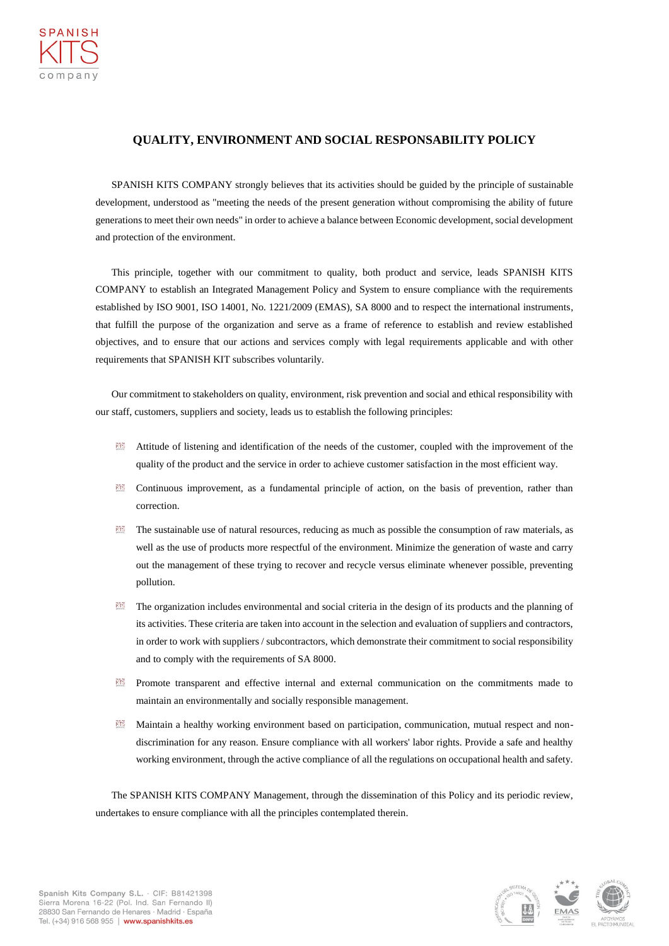## **QUALITY, ENVIRONMENT AND SOCIAL RESPONSABILITY POLICY**

SPANISH KITS COMPANY strongly believes that its activities should be guided by the principle of sustainable development, understood as "meeting the needs of the present generation without compromising the ability of future generations to meet their own needs" in order to achieve a balance between Economic development, social development and protection of the environment.

This principle, together with our commitment to quality, both product and service, leads SPANISH KITS COMPANY to establish an Integrated Management Policy and System to ensure compliance with the requirements established by ISO 9001, ISO 14001, No. 1221/2009 (EMAS), SA 8000 and to respect the international instruments, that fulfill the purpose of the organization and serve as a frame of reference to establish and review established objectives, and to ensure that our actions and services comply with legal requirements applicable and with other requirements that SPANISH KIT subscribes voluntarily.

Our commitment to stakeholders on quality, environment, risk prevention and social and ethical responsibility with our staff, customers, suppliers and society, leads us to establish the following principles:

- Attitude of listening and identification of the needs of the customer, coupled with the improvement of the quality of the product and the service in order to achieve customer satisfaction in the most efficient way.
- Continuous improvement, as a fundamental principle of action, on the basis of prevention, rather than correction.
- The sustainable use of natural resources, reducing as much as possible the consumption of raw materials, as well as the use of products more respectful of the environment. Minimize the generation of waste and carry out the management of these trying to recover and recycle versus eliminate whenever possible, preventing pollution.
- The organization includes environmental and social criteria in the design of its products and the planning of its activities. These criteria are taken into account in the selection and evaluation of suppliers and contractors, in order to work with suppliers / subcontractors, which demonstrate their commitment to social responsibility and to comply with the requirements of SA 8000.
- Promote transparent and effective internal and external communication on the commitments made to maintain an environmentally and socially responsible management.
- Maintain a healthy working environment based on participation, communication, mutual respect and nondiscrimination for any reason. Ensure compliance with all workers' labor rights. Provide a safe and healthy working environment, through the active compliance of all the regulations on occupational health and safety.

The SPANISH KITS COMPANY Management, through the dissemination of this Policy and its periodic review, undertakes to ensure compliance with all the principles contemplated therein.